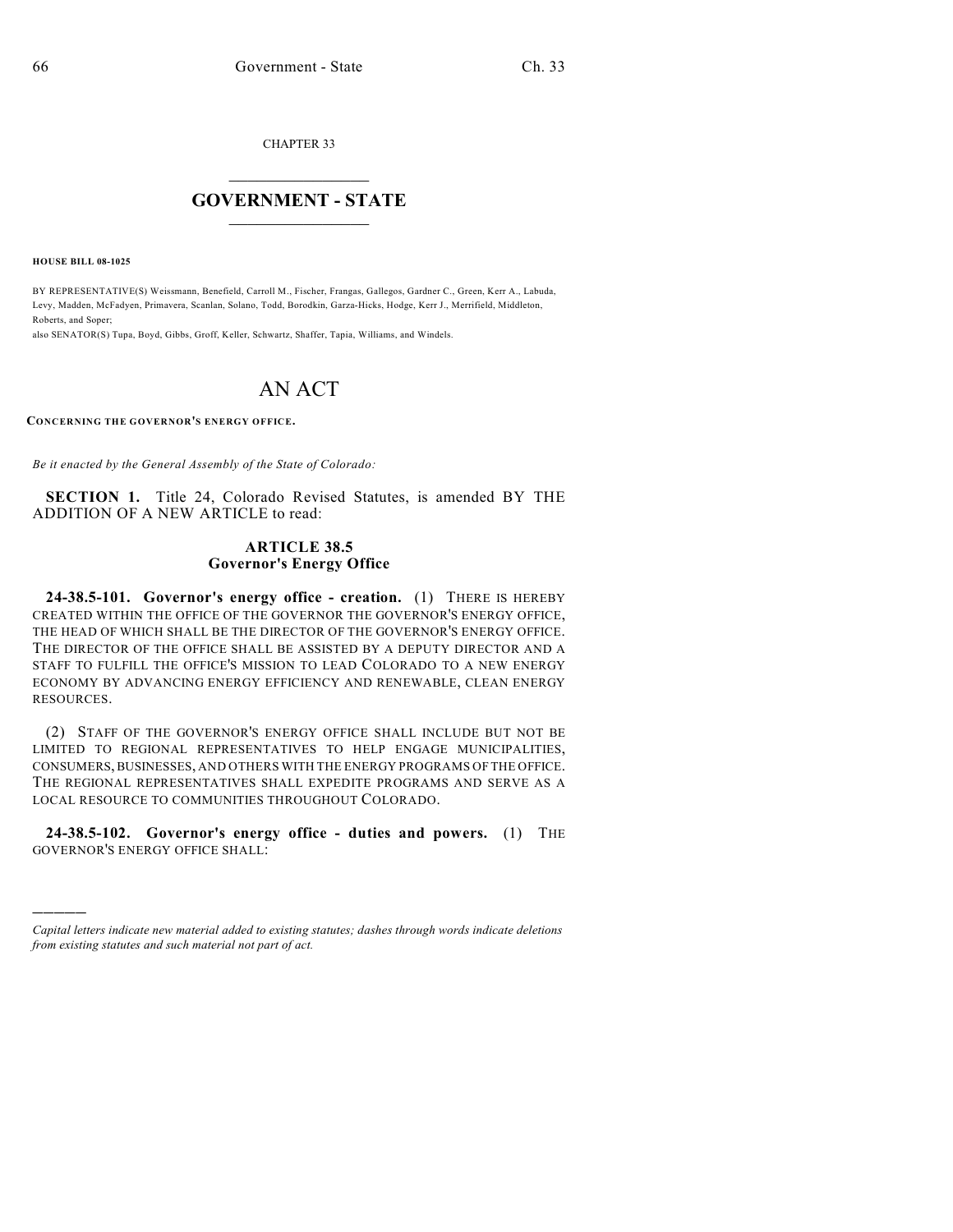CHAPTER 33

# $\overline{\phantom{a}}$  . The set of the set of the set of the set of the set of the set of the set of the set of the set of the set of the set of the set of the set of the set of the set of the set of the set of the set of the set o **GOVERNMENT - STATE**  $\_$

**HOUSE BILL 08-1025**

)))))

BY REPRESENTATIVE(S) Weissmann, Benefield, Carroll M., Fischer, Frangas, Gallegos, Gardner C., Green, Kerr A., Labuda, Levy, Madden, McFadyen, Primavera, Scanlan, Solano, Todd, Borodkin, Garza-Hicks, Hodge, Kerr J., Merrifield, Middleton, Roberts, and Soper;

also SENATOR(S) Tupa, Boyd, Gibbs, Groff, Keller, Schwartz, Shaffer, Tapia, Williams, and Windels.

# AN ACT

**CONCERNING THE GOVERNOR'S ENERGY OFFICE.**

*Be it enacted by the General Assembly of the State of Colorado:*

**SECTION 1.** Title 24, Colorado Revised Statutes, is amended BY THE ADDITION OF A NEW ARTICLE to read:

### **ARTICLE 38.5 Governor's Energy Office**

**24-38.5-101. Governor's energy office - creation.** (1) THERE IS HEREBY CREATED WITHIN THE OFFICE OF THE GOVERNOR THE GOVERNOR'S ENERGY OFFICE, THE HEAD OF WHICH SHALL BE THE DIRECTOR OF THE GOVERNOR'S ENERGY OFFICE. THE DIRECTOR OF THE OFFICE SHALL BE ASSISTED BY A DEPUTY DIRECTOR AND A STAFF TO FULFILL THE OFFICE'S MISSION TO LEAD COLORADO TO A NEW ENERGY ECONOMY BY ADVANCING ENERGY EFFICIENCY AND RENEWABLE, CLEAN ENERGY RESOURCES.

(2) STAFF OF THE GOVERNOR'S ENERGY OFFICE SHALL INCLUDE BUT NOT BE LIMITED TO REGIONAL REPRESENTATIVES TO HELP ENGAGE MUNICIPALITIES, CONSUMERS, BUSINESSES, AND OTHERS WITH THE ENERGY PROGRAMS OF THE OFFICE. THE REGIONAL REPRESENTATIVES SHALL EXPEDITE PROGRAMS AND SERVE AS A LOCAL RESOURCE TO COMMUNITIES THROUGHOUT COLORADO.

**24-38.5-102. Governor's energy office - duties and powers.** (1) THE GOVERNOR'S ENERGY OFFICE SHALL:

*Capital letters indicate new material added to existing statutes; dashes through words indicate deletions from existing statutes and such material not part of act.*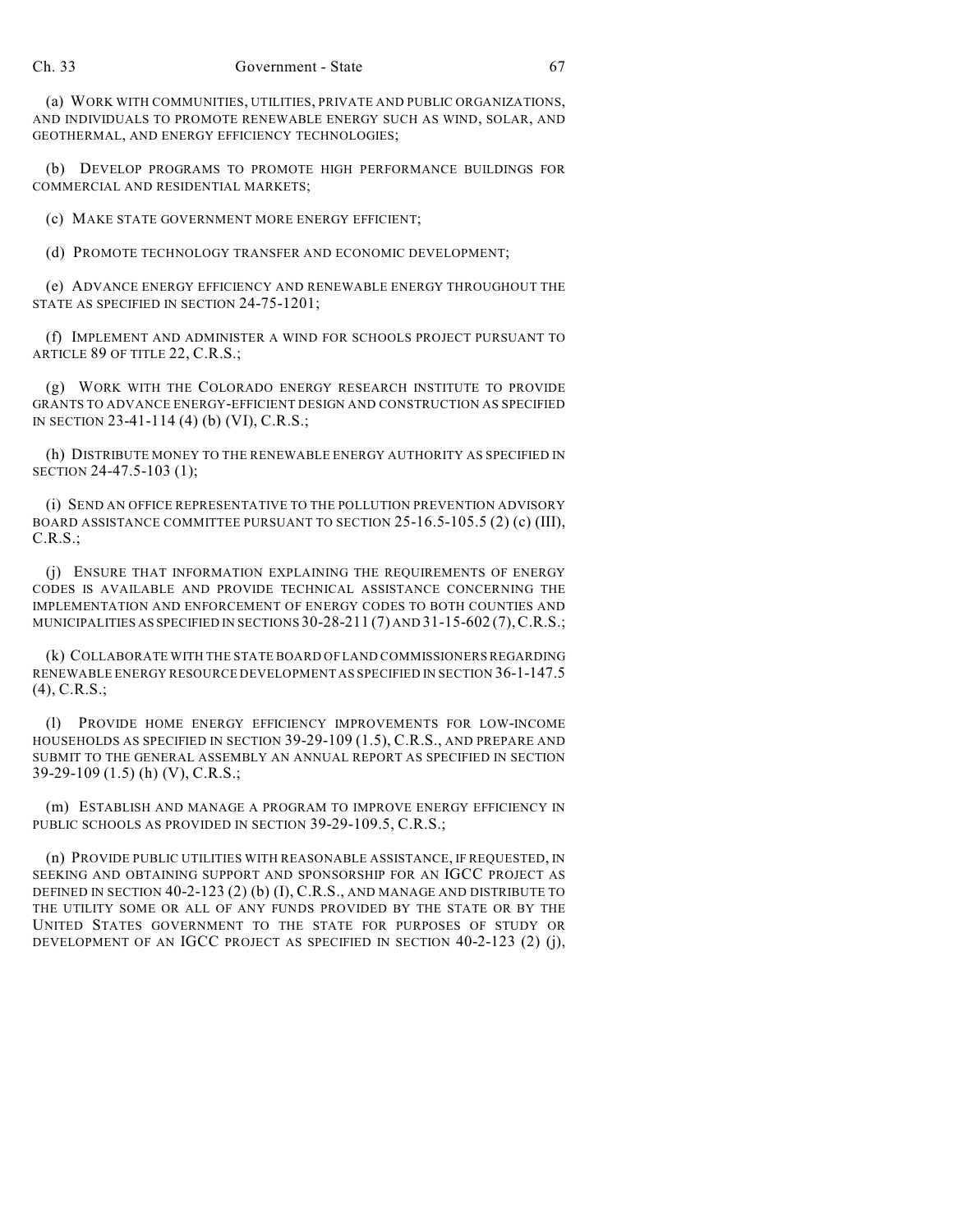(a) WORK WITH COMMUNITIES, UTILITIES, PRIVATE AND PUBLIC ORGANIZATIONS, AND INDIVIDUALS TO PROMOTE RENEWABLE ENERGY SUCH AS WIND, SOLAR, AND GEOTHERMAL, AND ENERGY EFFICIENCY TECHNOLOGIES;

(b) DEVELOP PROGRAMS TO PROMOTE HIGH PERFORMANCE BUILDINGS FOR COMMERCIAL AND RESIDENTIAL MARKETS;

(c) MAKE STATE GOVERNMENT MORE ENERGY EFFICIENT;

(d) PROMOTE TECHNOLOGY TRANSFER AND ECONOMIC DEVELOPMENT;

(e) ADVANCE ENERGY EFFICIENCY AND RENEWABLE ENERGY THROUGHOUT THE STATE AS SPECIFIED IN SECTION 24-75-1201;

(f) IMPLEMENT AND ADMINISTER A WIND FOR SCHOOLS PROJECT PURSUANT TO ARTICLE 89 OF TITLE 22, C.R.S.;

(g) WORK WITH THE COLORADO ENERGY RESEARCH INSTITUTE TO PROVIDE GRANTS TO ADVANCE ENERGY-EFFICIENT DESIGN AND CONSTRUCTION AS SPECIFIED IN SECTION 23-41-114 (4) (b) (VI), C.R.S.;

(h) DISTRIBUTE MONEY TO THE RENEWABLE ENERGY AUTHORITY AS SPECIFIED IN SECTION 24-47.5-103 (1);

(i) SEND AN OFFICE REPRESENTATIVE TO THE POLLUTION PREVENTION ADVISORY BOARD ASSISTANCE COMMITTEE PURSUANT TO SECTION 25-16.5-105.5 (2) (c) (III), C.R.S.;

(j) ENSURE THAT INFORMATION EXPLAINING THE REQUIREMENTS OF ENERGY CODES IS AVAILABLE AND PROVIDE TECHNICAL ASSISTANCE CONCERNING THE IMPLEMENTATION AND ENFORCEMENT OF ENERGY CODES TO BOTH COUNTIES AND MUNICIPALITIES AS SPECIFIED IN SECTIONS  $30-28-211(7)$  AND  $31-15-602(7)$ , C.R.S.;

(k) COLLABORATE WITH THE STATE BOARD OF LAND COMMISSIONERS REGARDING RENEWABLE ENERGY RESOURCE DEVELOPMENT AS SPECIFIED IN SECTION 36-1-147.5 (4), C.R.S.;

(l) PROVIDE HOME ENERGY EFFICIENCY IMPROVEMENTS FOR LOW-INCOME HOUSEHOLDS AS SPECIFIED IN SECTION 39-29-109 (1.5), C.R.S., AND PREPARE AND SUBMIT TO THE GENERAL ASSEMBLY AN ANNUAL REPORT AS SPECIFIED IN SECTION 39-29-109 (1.5) (h) (V), C.R.S.;

(m) ESTABLISH AND MANAGE A PROGRAM TO IMPROVE ENERGY EFFICIENCY IN PUBLIC SCHOOLS AS PROVIDED IN SECTION 39-29-109.5, C.R.S.;

(n) PROVIDE PUBLIC UTILITIES WITH REASONABLE ASSISTANCE, IF REQUESTED, IN SEEKING AND OBTAINING SUPPORT AND SPONSORSHIP FOR AN IGCC PROJECT AS DEFINED IN SECTION 40-2-123 (2) (b) (I), C.R.S., AND MANAGE AND DISTRIBUTE TO THE UTILITY SOME OR ALL OF ANY FUNDS PROVIDED BY THE STATE OR BY THE UNITED STATES GOVERNMENT TO THE STATE FOR PURPOSES OF STUDY OR DEVELOPMENT OF AN IGCC PROJECT AS SPECIFIED IN SECTION 40-2-123 (2) (j),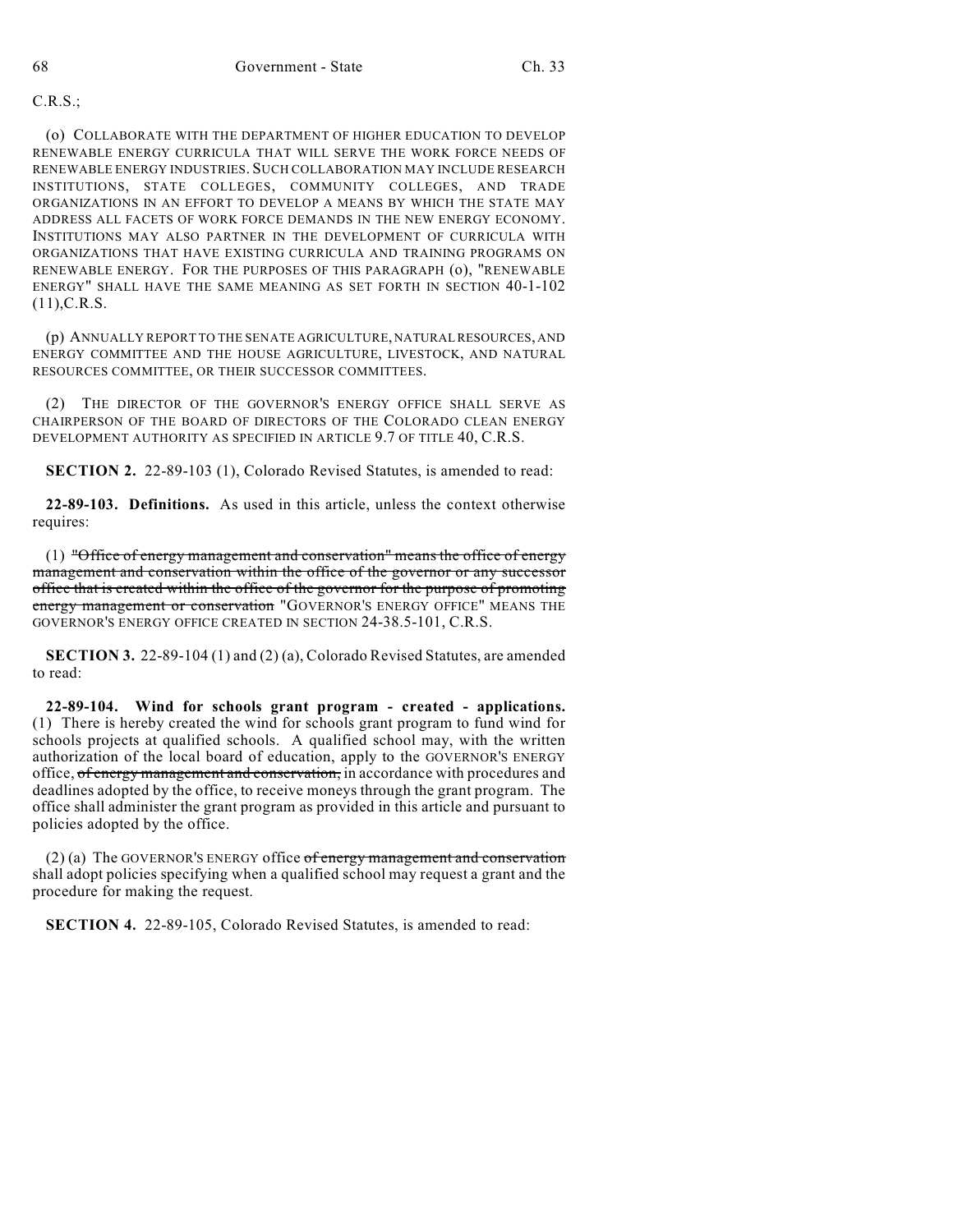### C.R.S.;

(o) COLLABORATE WITH THE DEPARTMENT OF HIGHER EDUCATION TO DEVELOP RENEWABLE ENERGY CURRICULA THAT WILL SERVE THE WORK FORCE NEEDS OF RENEWABLE ENERGY INDUSTRIES. SUCH COLLABORATION MAY INCLUDE RESEARCH INSTITUTIONS, STATE COLLEGES, COMMUNITY COLLEGES, AND TRADE ORGANIZATIONS IN AN EFFORT TO DEVELOP A MEANS BY WHICH THE STATE MAY ADDRESS ALL FACETS OF WORK FORCE DEMANDS IN THE NEW ENERGY ECONOMY. INSTITUTIONS MAY ALSO PARTNER IN THE DEVELOPMENT OF CURRICULA WITH ORGANIZATIONS THAT HAVE EXISTING CURRICULA AND TRAINING PROGRAMS ON RENEWABLE ENERGY. FOR THE PURPOSES OF THIS PARAGRAPH (o), "RENEWABLE ENERGY" SHALL HAVE THE SAME MEANING AS SET FORTH IN SECTION 40-1-102  $(11)$ , C.R.S.

(p) ANNUALLY REPORT TO THE SENATE AGRICULTURE, NATURAL RESOURCES, AND ENERGY COMMITTEE AND THE HOUSE AGRICULTURE, LIVESTOCK, AND NATURAL RESOURCES COMMITTEE, OR THEIR SUCCESSOR COMMITTEES.

(2) THE DIRECTOR OF THE GOVERNOR'S ENERGY OFFICE SHALL SERVE AS CHAIRPERSON OF THE BOARD OF DIRECTORS OF THE COLORADO CLEAN ENERGY DEVELOPMENT AUTHORITY AS SPECIFIED IN ARTICLE 9.7 OF TITLE 40, C.R.S.

**SECTION 2.** 22-89-103 (1), Colorado Revised Statutes, is amended to read:

**22-89-103. Definitions.** As used in this article, unless the context otherwise requires:

(1) "Office of energy management and conservation" means the office of energy management and conservation within the office of the governor or any successor office that is created within the office of the governor for the purpose of promoting energy management or conservation "GOVERNOR'S ENERGY OFFICE" MEANS THE GOVERNOR'S ENERGY OFFICE CREATED IN SECTION 24-38.5-101, C.R.S.

**SECTION 3.** 22-89-104 (1) and (2) (a), Colorado Revised Statutes, are amended to read:

**22-89-104. Wind for schools grant program - created - applications.** (1) There is hereby created the wind for schools grant program to fund wind for schools projects at qualified schools. A qualified school may, with the written authorization of the local board of education, apply to the GOVERNOR'S ENERGY office, of energy management and conservation, in accordance with procedures and deadlines adopted by the office, to receive moneys through the grant program. The office shall administer the grant program as provided in this article and pursuant to policies adopted by the office.

(2) (a) The GOVERNOR'S ENERGY office  $of$  energy management and conservation shall adopt policies specifying when a qualified school may request a grant and the procedure for making the request.

**SECTION 4.** 22-89-105, Colorado Revised Statutes, is amended to read: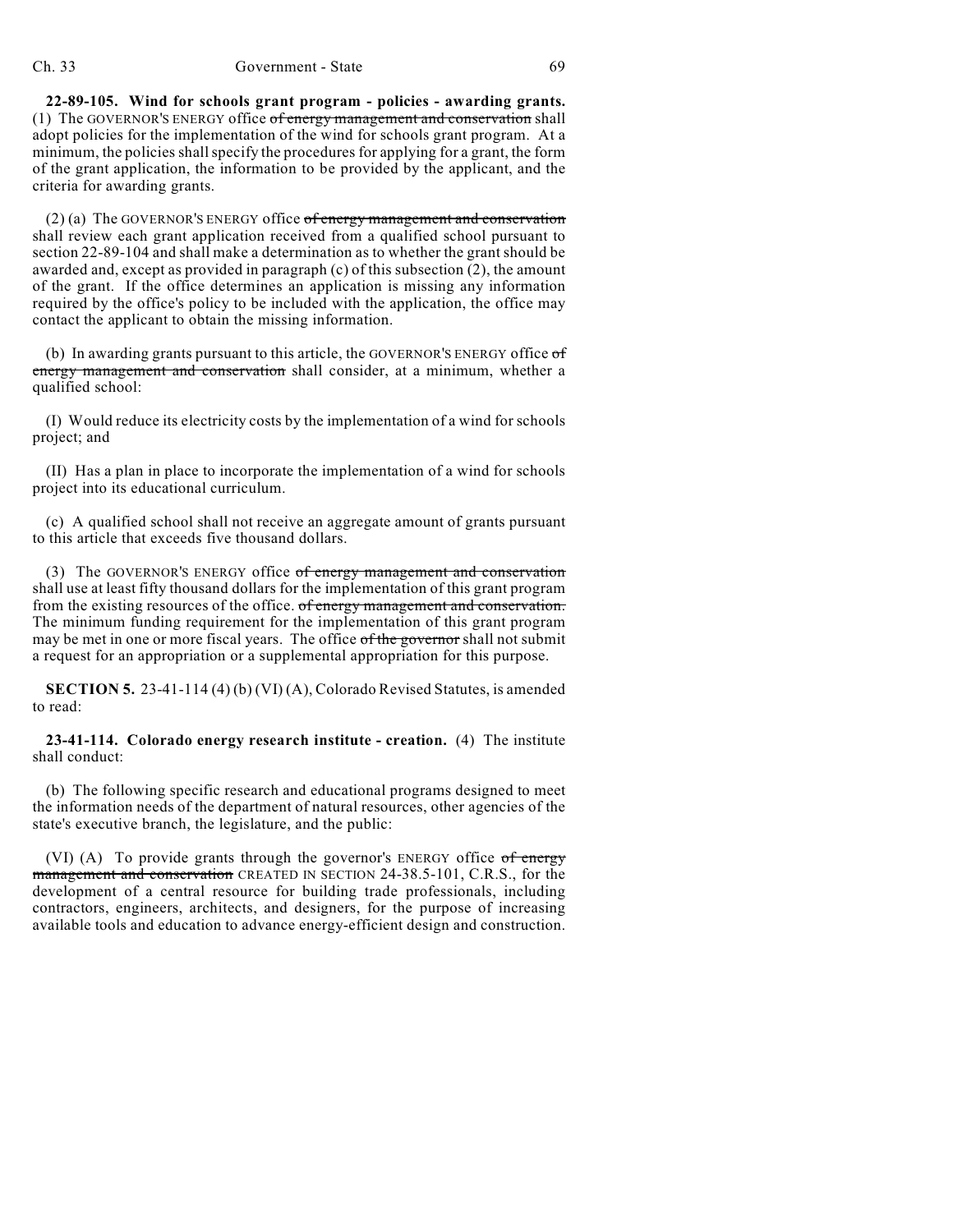#### Ch. 33 Government - State 69

**22-89-105. Wind for schools grant program - policies - awarding grants.** (1) The GOVERNOR'S ENERGY office of energy management and conservation shall adopt policies for the implementation of the wind for schools grant program. At a minimum, the policies shall specify the procedures for applying for a grant, the form of the grant application, the information to be provided by the applicant, and the criteria for awarding grants.

 $(2)$  (a) The GOVERNOR'S ENERGY office of energy management and conservation shall review each grant application received from a qualified school pursuant to section 22-89-104 and shall make a determination as to whether the grant should be awarded and, except as provided in paragraph (c) of this subsection (2), the amount of the grant. If the office determines an application is missing any information required by the office's policy to be included with the application, the office may contact the applicant to obtain the missing information.

(b) In awarding grants pursuant to this article, the GOVERNOR'S ENERGY office of energy management and conservation shall consider, at a minimum, whether a qualified school:

(I) Would reduce its electricity costs by the implementation of a wind for schools project; and

(II) Has a plan in place to incorporate the implementation of a wind for schools project into its educational curriculum.

(c) A qualified school shall not receive an aggregate amount of grants pursuant to this article that exceeds five thousand dollars.

(3) The GOVERNOR'S ENERGY office of energy management and conservation shall use at least fifty thousand dollars for the implementation of this grant program from the existing resources of the office. of energy management and conservation. The minimum funding requirement for the implementation of this grant program may be met in one or more fiscal years. The office of the governor shall not submit a request for an appropriation or a supplemental appropriation for this purpose.

**SECTION 5.** 23-41-114 (4) (b) (VI) (A), Colorado Revised Statutes, is amended to read:

**23-41-114. Colorado energy research institute - creation.** (4) The institute shall conduct:

(b) The following specific research and educational programs designed to meet the information needs of the department of natural resources, other agencies of the state's executive branch, the legislature, and the public:

(VI) (A) To provide grants through the governor's ENERGY office  $of$  energy management and conservation CREATED IN SECTION 24-38.5-101, C.R.S., for the development of a central resource for building trade professionals, including contractors, engineers, architects, and designers, for the purpose of increasing available tools and education to advance energy-efficient design and construction.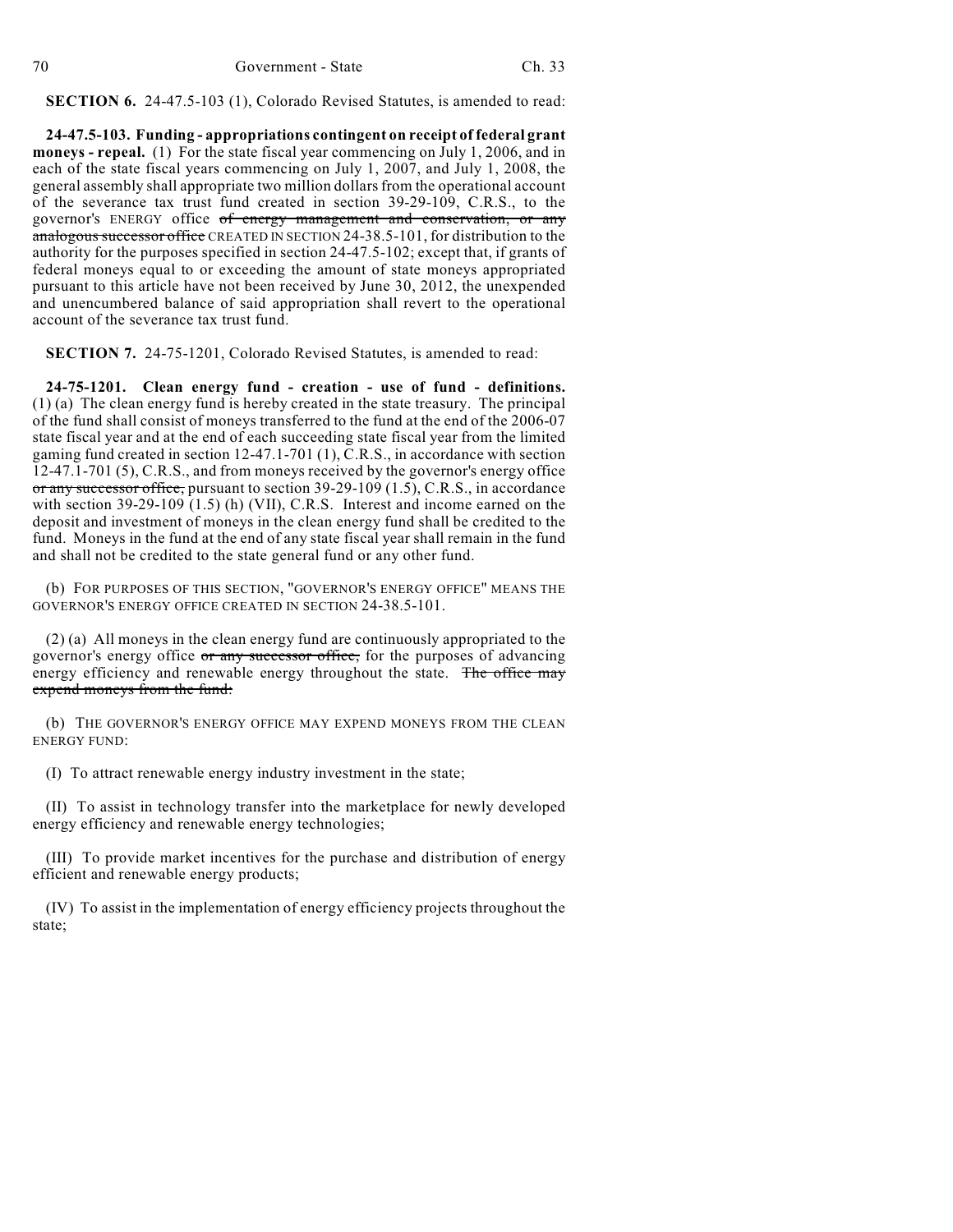**SECTION 6.** 24-47.5-103 (1), Colorado Revised Statutes, is amended to read:

**24-47.5-103. Funding - appropriations contingent on receipt of federal grant moneys - repeal.** (1) For the state fiscal year commencing on July 1, 2006, and in each of the state fiscal years commencing on July 1, 2007, and July 1, 2008, the general assembly shall appropriate two million dollars from the operational account of the severance tax trust fund created in section 39-29-109, C.R.S., to the governor's ENERGY office of energy management and conservation, or any analogous successor office CREATED IN SECTION 24-38.5-101, for distribution to the authority for the purposes specified in section 24-47.5-102; except that, if grants of federal moneys equal to or exceeding the amount of state moneys appropriated pursuant to this article have not been received by June 30, 2012, the unexpended and unencumbered balance of said appropriation shall revert to the operational account of the severance tax trust fund.

**SECTION 7.** 24-75-1201, Colorado Revised Statutes, is amended to read:

**24-75-1201. Clean energy fund - creation - use of fund - definitions.** (1) (a) The clean energy fund is hereby created in the state treasury. The principal of the fund shall consist of moneys transferred to the fund at the end of the 2006-07 state fiscal year and at the end of each succeeding state fiscal year from the limited gaming fund created in section 12-47.1-701 (1), C.R.S., in accordance with section 12-47.1-701 (5), C.R.S., and from moneys received by the governor's energy office or any successor office, pursuant to section 39-29-109 (1.5), C.R.S., in accordance with section 39-29-109 (1.5) (h) (VII), C.R.S. Interest and income earned on the deposit and investment of moneys in the clean energy fund shall be credited to the fund. Moneys in the fund at the end of any state fiscal year shall remain in the fund and shall not be credited to the state general fund or any other fund.

(b) FOR PURPOSES OF THIS SECTION, "GOVERNOR'S ENERGY OFFICE" MEANS THE GOVERNOR'S ENERGY OFFICE CREATED IN SECTION 24-38.5-101.

(2) (a) All moneys in the clean energy fund are continuously appropriated to the governor's energy office or any successor office, for the purposes of advancing energy efficiency and renewable energy throughout the state. The office may expend moneys from the fund:

(b) THE GOVERNOR'S ENERGY OFFICE MAY EXPEND MONEYS FROM THE CLEAN ENERGY FUND:

(I) To attract renewable energy industry investment in the state;

(II) To assist in technology transfer into the marketplace for newly developed energy efficiency and renewable energy technologies;

(III) To provide market incentives for the purchase and distribution of energy efficient and renewable energy products;

(IV) To assist in the implementation of energy efficiency projects throughout the state;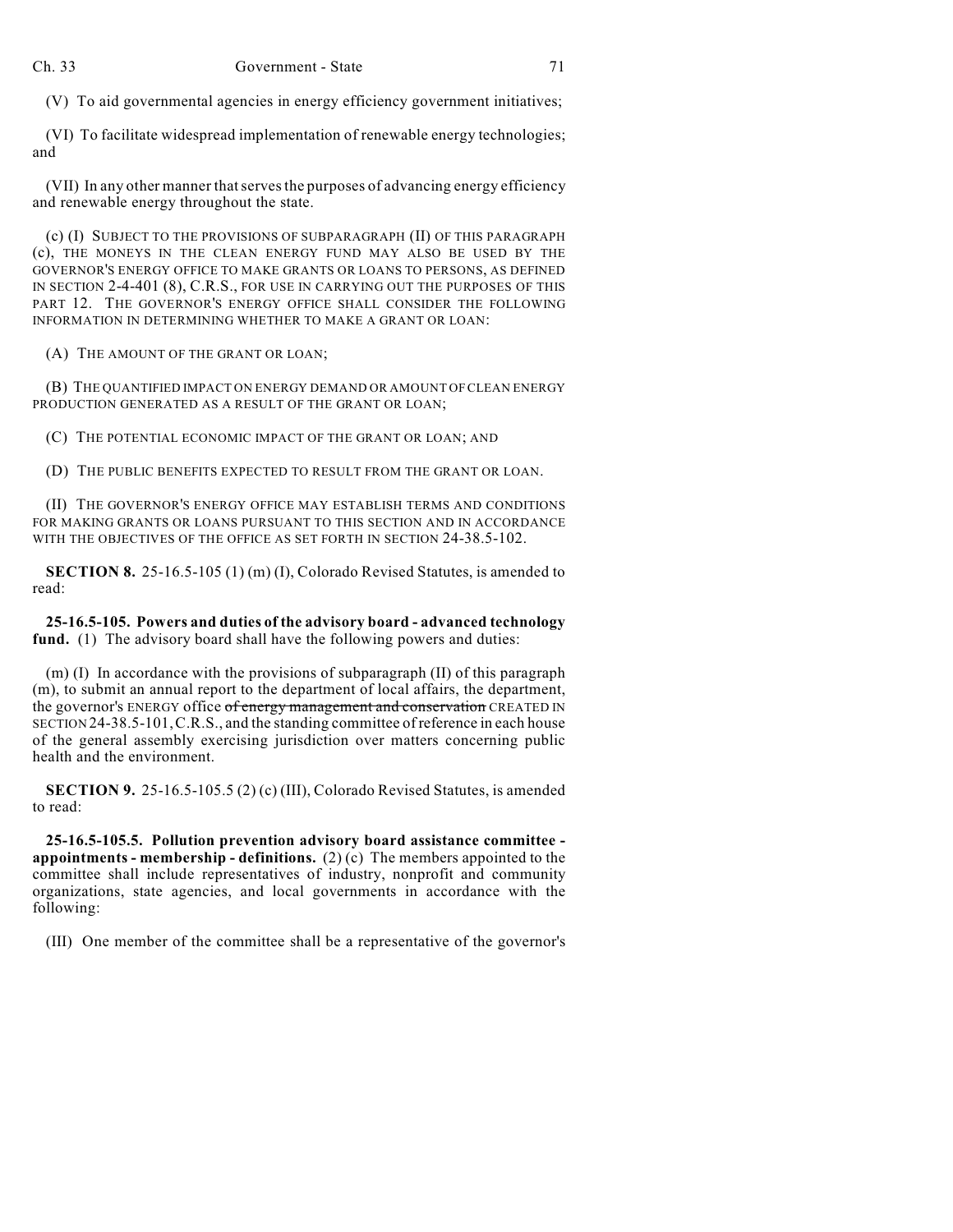(V) To aid governmental agencies in energy efficiency government initiatives;

(VI) To facilitate widespread implementation of renewable energy technologies; and

(VII) In any other manner that serves the purposes of advancing energy efficiency and renewable energy throughout the state.

(c) (I) SUBJECT TO THE PROVISIONS OF SUBPARAGRAPH (II) OF THIS PARAGRAPH (c), THE MONEYS IN THE CLEAN ENERGY FUND MAY ALSO BE USED BY THE GOVERNOR'S ENERGY OFFICE TO MAKE GRANTS OR LOANS TO PERSONS, AS DEFINED IN SECTION 2-4-401 (8), C.R.S., FOR USE IN CARRYING OUT THE PURPOSES OF THIS PART 12. THE GOVERNOR'S ENERGY OFFICE SHALL CONSIDER THE FOLLOWING INFORMATION IN DETERMINING WHETHER TO MAKE A GRANT OR LOAN:

(A) THE AMOUNT OF THE GRANT OR LOAN;

(B) THE QUANTIFIED IMPACT ON ENERGY DEMAND OR AMOUNT OF CLEAN ENERGY PRODUCTION GENERATED AS A RESULT OF THE GRANT OR LOAN;

(C) THE POTENTIAL ECONOMIC IMPACT OF THE GRANT OR LOAN; AND

(D) THE PUBLIC BENEFITS EXPECTED TO RESULT FROM THE GRANT OR LOAN.

(II) THE GOVERNOR'S ENERGY OFFICE MAY ESTABLISH TERMS AND CONDITIONS FOR MAKING GRANTS OR LOANS PURSUANT TO THIS SECTION AND IN ACCORDANCE WITH THE OBJECTIVES OF THE OFFICE AS SET FORTH IN SECTION 24-38.5-102.

**SECTION 8.** 25-16.5-105 (1) (m) (I), Colorado Revised Statutes, is amended to read:

**25-16.5-105. Powers and duties of the advisory board - advanced technology fund.** (1) The advisory board shall have the following powers and duties:

(m) (I) In accordance with the provisions of subparagraph (II) of this paragraph (m), to submit an annual report to the department of local affairs, the department, the governor's ENERGY office of energy management and conservation CREATED IN SECTION 24-38.5-101,C.R.S., and the standing committee of reference in each house of the general assembly exercising jurisdiction over matters concerning public health and the environment.

**SECTION 9.** 25-16.5-105.5 (2) (c) (III), Colorado Revised Statutes, is amended to read:

**25-16.5-105.5. Pollution prevention advisory board assistance committee appointments - membership - definitions.** (2) (c) The members appointed to the committee shall include representatives of industry, nonprofit and community organizations, state agencies, and local governments in accordance with the following:

(III) One member of the committee shall be a representative of the governor's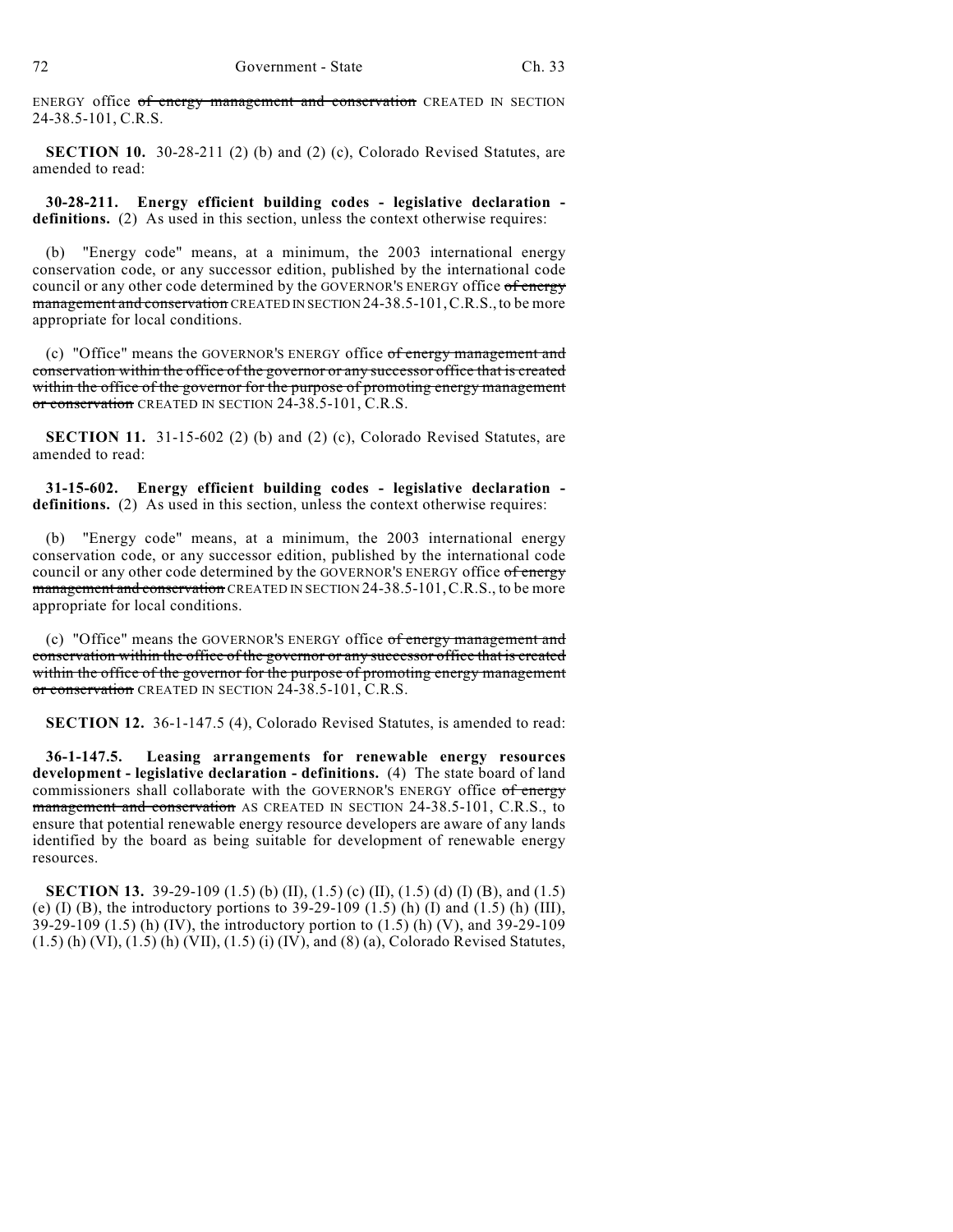ENERGY office of energy management and conservation CREATED IN SECTION 24-38.5-101, C.R.S.

**SECTION 10.** 30-28-211 (2) (b) and (2) (c), Colorado Revised Statutes, are amended to read:

**30-28-211. Energy efficient building codes - legislative declaration definitions.** (2) As used in this section, unless the context otherwise requires:

(b) "Energy code" means, at a minimum, the 2003 international energy conservation code, or any successor edition, published by the international code council or any other code determined by the GOVERNOR'S ENERGY office of energy management and conservation CREATED IN SECTION 24-38.5-101, C.R.S., to be more appropriate for local conditions.

(c) "Office" means the GOVERNOR'S ENERGY office of energy management and conservation within the office of the governor or any successor office that is created within the office of the governor for the purpose of promoting energy management or conservation CREATED IN SECTION 24-38.5-101, C.R.S.

**SECTION 11.** 31-15-602 (2) (b) and (2) (c), Colorado Revised Statutes, are amended to read:

**31-15-602. Energy efficient building codes - legislative declaration definitions.** (2) As used in this section, unless the context otherwise requires:

(b) "Energy code" means, at a minimum, the 2003 international energy conservation code, or any successor edition, published by the international code council or any other code determined by the GOVERNOR'S ENERGY office of energy management and conservation CREATED IN SECTION 24-38.5-101, C.R.S., to be more appropriate for local conditions.

(c) "Office" means the GOVERNOR'S ENERGY office of energy management and conservation within the office of the governor or any successor office that is created within the office of the governor for the purpose of promoting energy management or conservation CREATED IN SECTION 24-38.5-101, C.R.S.

**SECTION 12.** 36-1-147.5 (4), Colorado Revised Statutes, is amended to read:

**36-1-147.5. Leasing arrangements for renewable energy resources development - legislative declaration - definitions.** (4) The state board of land commissioners shall collaborate with the GOVERNOR'S ENERGY office of energy management and conservation AS CREATED IN SECTION 24-38.5-101, C.R.S., to ensure that potential renewable energy resource developers are aware of any lands identified by the board as being suitable for development of renewable energy resources.

**SECTION 13.** 39-29-109 (1.5) (b) (II), (1.5) (c) (II), (1.5) (d) (I) (B), and (1.5) (e) (I) (B), the introductory portions to  $39-29-109$  (1.5) (h) (I) and (1.5) (h) (III), 39-29-109 (1.5) (h) (IV), the introductory portion to (1.5) (h) (V), and 39-29-109 (1.5) (h) (VI), (1.5) (h) (VII), (1.5) (i) (IV), and (8) (a), Colorado Revised Statutes,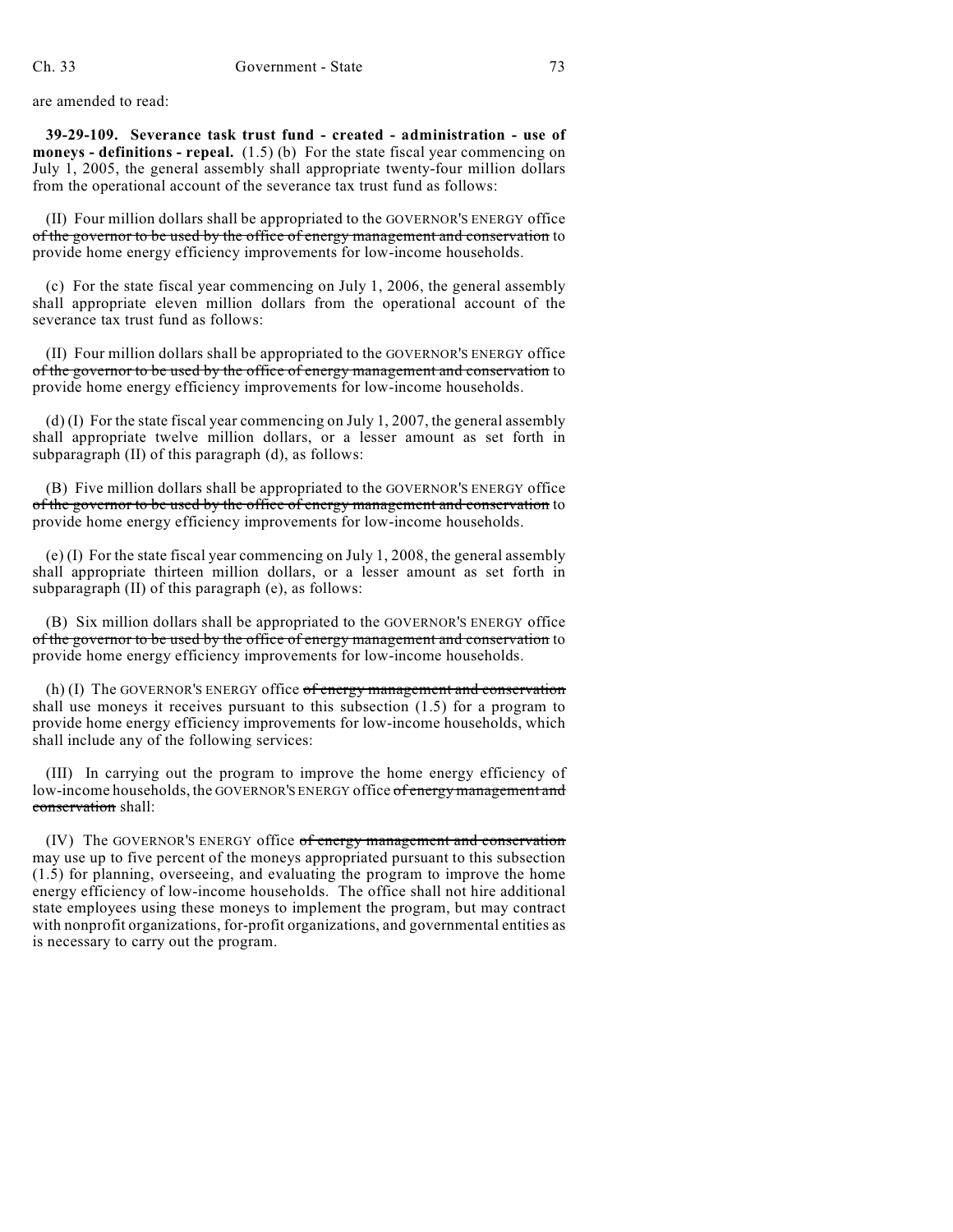are amended to read:

**39-29-109. Severance task trust fund - created - administration - use of moneys - definitions - repeal.** (1.5) (b) For the state fiscal year commencing on July 1, 2005, the general assembly shall appropriate twenty-four million dollars from the operational account of the severance tax trust fund as follows:

(II) Four million dollars shall be appropriated to the GOVERNOR'S ENERGY office of the governor to be used by the office of energy management and conservation to provide home energy efficiency improvements for low-income households.

(c) For the state fiscal year commencing on July 1, 2006, the general assembly shall appropriate eleven million dollars from the operational account of the severance tax trust fund as follows:

(II) Four million dollars shall be appropriated to the GOVERNOR'S ENERGY office of the governor to be used by the office of energy management and conservation to provide home energy efficiency improvements for low-income households.

(d) (I) For the state fiscal year commencing on July 1, 2007, the general assembly shall appropriate twelve million dollars, or a lesser amount as set forth in subparagraph (II) of this paragraph (d), as follows:

(B) Five million dollars shall be appropriated to the GOVERNOR'S ENERGY office of the governor to be used by the office of energy management and conservation to provide home energy efficiency improvements for low-income households.

(e) (I) For the state fiscal year commencing on July 1, 2008, the general assembly shall appropriate thirteen million dollars, or a lesser amount as set forth in subparagraph (II) of this paragraph (e), as follows:

(B) Six million dollars shall be appropriated to the GOVERNOR'S ENERGY office of the governor to be used by the office of energy management and conservation to provide home energy efficiency improvements for low-income households.

(h) (I) The GOVERNOR'S ENERGY office  $of$  energy management and conservation shall use moneys it receives pursuant to this subsection (1.5) for a program to provide home energy efficiency improvements for low-income households, which shall include any of the following services:

(III) In carrying out the program to improve the home energy efficiency of low-income households, the GOVERNOR'S ENERGY office of energy management and conservation shall:

(IV) The GOVERNOR'S ENERGY office of energy management and conservation may use up to five percent of the moneys appropriated pursuant to this subsection (1.5) for planning, overseeing, and evaluating the program to improve the home energy efficiency of low-income households. The office shall not hire additional state employees using these moneys to implement the program, but may contract with nonprofit organizations, for-profit organizations, and governmental entities as is necessary to carry out the program.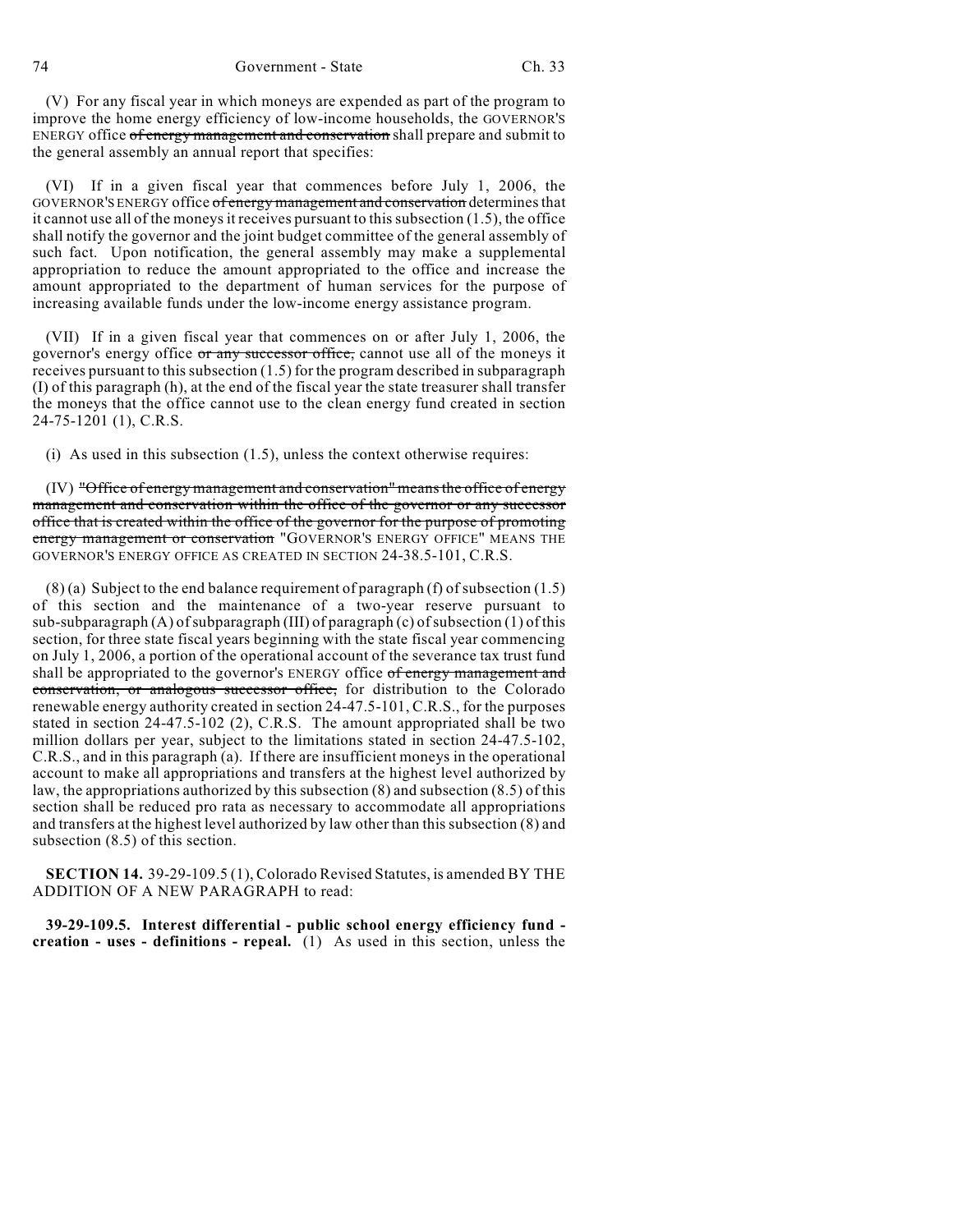(V) For any fiscal year in which moneys are expended as part of the program to improve the home energy efficiency of low-income households, the GOVERNOR'S ENERGY office of energy management and conservation shall prepare and submit to the general assembly an annual report that specifies:

(VI) If in a given fiscal year that commences before July 1, 2006, the GOVERNOR'S ENERGY office of energy management and conservation determines that it cannot use all of the moneys it receives pursuant to this subsection (1.5), the office shall notify the governor and the joint budget committee of the general assembly of such fact. Upon notification, the general assembly may make a supplemental appropriation to reduce the amount appropriated to the office and increase the amount appropriated to the department of human services for the purpose of increasing available funds under the low-income energy assistance program.

(VII) If in a given fiscal year that commences on or after July 1, 2006, the governor's energy office or any successor office, cannot use all of the moneys it receives pursuant to this subsection (1.5) for the program described in subparagraph (I) of this paragraph (h), at the end of the fiscal year the state treasurer shall transfer the moneys that the office cannot use to the clean energy fund created in section 24-75-1201 (1), C.R.S.

(i) As used in this subsection  $(1.5)$ , unless the context otherwise requires:

 $(IV)$  "Office of energy management and conservation" means the office of energy management and conservation within the office of the governor or any successor office that is created within the office of the governor for the purpose of promoting energy management or conservation "GOVERNOR'S ENERGY OFFICE" MEANS THE GOVERNOR'S ENERGY OFFICE AS CREATED IN SECTION 24-38.5-101, C.R.S.

(8) (a) Subject to the end balance requirement of paragraph (f) of subsection (1.5) of this section and the maintenance of a two-year reserve pursuant to sub-subparagraph (A) of subparagraph (III) of paragraph (c) of subsection (1) of this section, for three state fiscal years beginning with the state fiscal year commencing on July 1, 2006, a portion of the operational account of the severance tax trust fund shall be appropriated to the governor's ENERGY office of energy management and conservation, or analogous successor office, for distribution to the Colorado renewable energy authority created in section 24-47.5-101, C.R.S., for the purposes stated in section 24-47.5-102 (2), C.R.S. The amount appropriated shall be two million dollars per year, subject to the limitations stated in section 24-47.5-102, C.R.S., and in this paragraph (a). If there are insufficient moneys in the operational account to make all appropriations and transfers at the highest level authorized by law, the appropriations authorized by this subsection (8) and subsection (8.5) of this section shall be reduced pro rata as necessary to accommodate all appropriations and transfers at the highest level authorized by law other than this subsection (8) and subsection (8.5) of this section.

**SECTION 14.** 39-29-109.5 (1), Colorado Revised Statutes, is amended BY THE ADDITION OF A NEW PARAGRAPH to read:

**39-29-109.5. Interest differential - public school energy efficiency fund creation - uses - definitions - repeal.** (1) As used in this section, unless the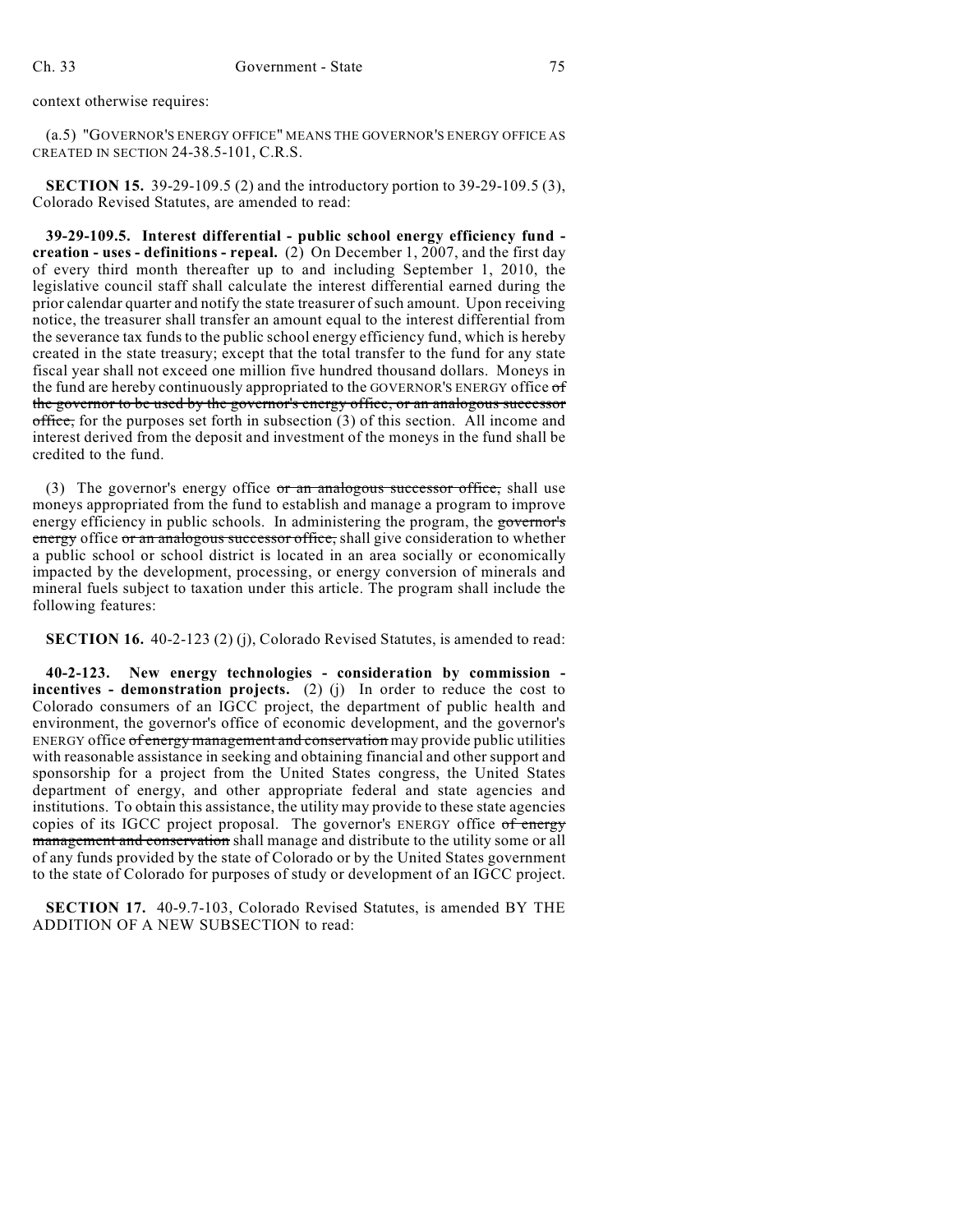context otherwise requires:

(a.5) "GOVERNOR'S ENERGY OFFICE" MEANS THE GOVERNOR'S ENERGY OFFICE AS CREATED IN SECTION 24-38.5-101, C.R.S.

**SECTION 15.** 39-29-109.5 (2) and the introductory portion to 39-29-109.5 (3), Colorado Revised Statutes, are amended to read:

**39-29-109.5. Interest differential - public school energy efficiency fund creation - uses - definitions - repeal.** (2) On December 1, 2007, and the first day of every third month thereafter up to and including September 1, 2010, the legislative council staff shall calculate the interest differential earned during the prior calendar quarter and notify the state treasurer of such amount. Upon receiving notice, the treasurer shall transfer an amount equal to the interest differential from the severance tax funds to the public school energy efficiency fund, which is hereby created in the state treasury; except that the total transfer to the fund for any state fiscal year shall not exceed one million five hundred thousand dollars. Moneys in the fund are hereby continuously appropriated to the GOVERNOR'S ENERGY office of the governor to be used by the governor's energy office, or an analogous successor  $\sigma$  office, for the purposes set forth in subsection (3) of this section. All income and interest derived from the deposit and investment of the moneys in the fund shall be credited to the fund.

(3) The governor's energy office  $or$  an analogous successor office, shall use moneys appropriated from the fund to establish and manage a program to improve energy efficiency in public schools. In administering the program, the governor's energy office or an analogous successor office, shall give consideration to whether a public school or school district is located in an area socially or economically impacted by the development, processing, or energy conversion of minerals and mineral fuels subject to taxation under this article. The program shall include the following features:

**SECTION 16.** 40-2-123 (2) (j), Colorado Revised Statutes, is amended to read:

**40-2-123. New energy technologies - consideration by commission incentives - demonstration projects.** (2) (j) In order to reduce the cost to Colorado consumers of an IGCC project, the department of public health and environment, the governor's office of economic development, and the governor's ENERGY office of energy management and conservation may provide public utilities with reasonable assistance in seeking and obtaining financial and other support and sponsorship for a project from the United States congress, the United States department of energy, and other appropriate federal and state agencies and institutions. To obtain this assistance, the utility may provide to these state agencies copies of its IGCC project proposal. The governor's ENERGY office of energy management and conservation shall manage and distribute to the utility some or all of any funds provided by the state of Colorado or by the United States government to the state of Colorado for purposes of study or development of an IGCC project.

**SECTION 17.** 40-9.7-103, Colorado Revised Statutes, is amended BY THE ADDITION OF A NEW SUBSECTION to read: